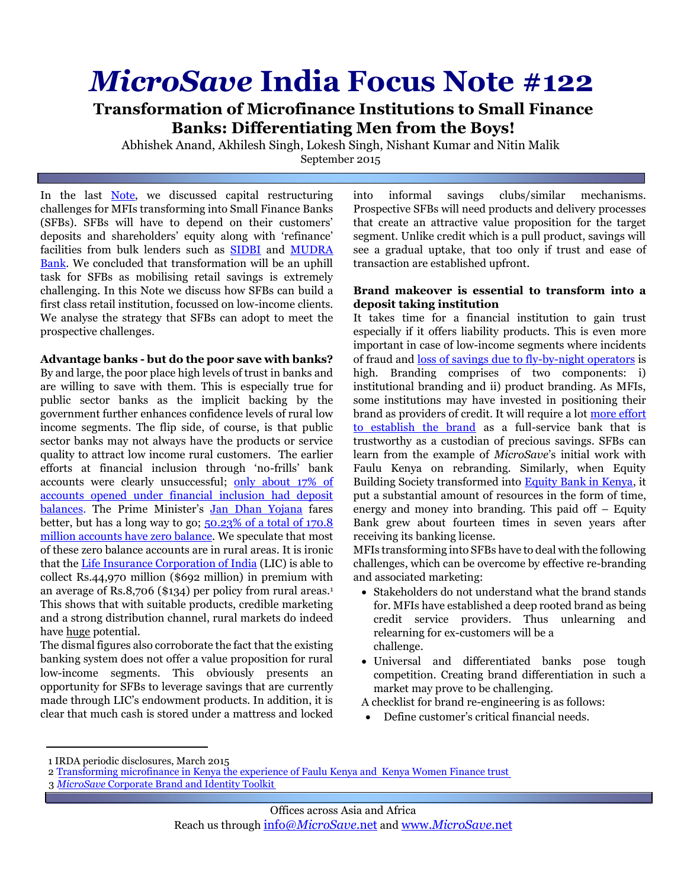# *MicroSave* **India Focus Note #122**

**Transformation of Microfinance Institutions to Small Finance Banks: Differentiating Men from the Boys!**

Abhishek Anand, Akhilesh Singh, Lokesh Singh, Nishant Kumar and Nitin Malik September 2015

In the last [Note,](http://www.microsave.net/resource/transformation_of_microfinance_institutions_into_small_finance_banks_will_it_be_a_roller_coaster#.VffxoxGqqko) we discussed capital restructuring challenges for MFIs transforming into Small Finance Banks (SFBs). SFBs will have to depend on their customers' deposits and shareholders' equity along with 'refinance' facilities from bulk lenders such as [SIDBI](http://www.sidbi.com/) and [MUDRA](http://www.mudra.org.in/)  [Bank.](http://www.mudra.org.in/) We concluded that transformation will be an uphill task for SFBs as mobilising retail savings is extremely challenging. In this Note we discuss how SFBs can build a first class retail institution, focussed on low-income clients. We analyse the strategy that SFBs can adopt to meet the prospective challenges.

## **Advantage banks - but do the poor save with banks?**

By and large, the poor place high levels of trust in banks and are willing to save with them. This is especially true for public sector banks as the implicit backing by the government further enhances confidence levels of rural low income segments. The flip side, of course, is that public sector banks may not always have the products or service quality to attract low income rural customers. The earlier efforts at financial inclusion through 'no-frills' bank accounts were clearly unsuccessful; [only about 17% of](http://www.licindia.in/publicdiscloser/2014-15/032015/index.htm)  [accounts opened under financial inclusion had deposit](http://www.licindia.in/publicdiscloser/2014-15/032015/index.htm)  [balances.](http://www.licindia.in/publicdiscloser/2014-15/032015/index.htm) The Prime Minister's [Jan Dhan Yojana](http://www.pmjdy.gov.in/scheme_detail.aspx) fares better, but has a long way to go; 50.23% of a total of 170.8 [million accounts have zero balance.](http://pmjdy.gov.in/account-statistics-country.aspx) We speculate that most of these zero balance accounts are in rural areas. It is ironic that th[e Life Insurance Corporation of India \(](http://www.licindia.in/)LIC) is able to collect Rs.44,970 million (\$692 million) in premium with an average of Rs.8,706 (\$134) per policy from rural areas. 1 This shows that with suitable products, credible marketing and a strong distribution channel, rural markets do indeed have huge potential.

The dismal figures also corroborate the fact that the existing banking system does not offer a value proposition for rural low-income segments. This obviously presents an opportunity for SFBs to leverage savings that are currently made through LIC's endowment products. In addition, it is clear that much cash is stored under a mattress and locked

into informal savings clubs/similar mechanisms. Prospective SFBs will need products and delivery processes that create an attractive value proposition for the target segment. Unlike credit which is a pull product, savings will see a gradual uptake, that too only if trust and ease of transaction are established upfront.

#### **Brand makeover is essential to transform into a deposit taking institution**

It takes time for a financial institution to gain trust especially if it offers liability products. This is even more important in case of low-income segments where incidents of fraud and [loss of savings due to fly-by-night operators](http://www.moneycontrol.com/news/business/rbi-alert-what-to-check-before-making-depositsnbfcs_887512.html) is high. Branding comprises of two components: i) institutional branding and ii) product branding. As MFIs, some institutions may have invested in positioning their brand as providers of credit. It will require a lot [more effort](http://bit.ly/1ot2sPb)  [to establish the brand](http://bit.ly/1ot2sPb) as a full-service bank that is trustworthy as a custodian of precious savings. SFBs can learn from the example of *MicroSave*'s initial work with Faulu Kenya on rebranding. Similarly, when Equity Building Society transformed into [Equity Bank in Kenya,](http://bit.ly/1bbsz5p) it put a substantial amount of resources in the form of time, energy and money into branding. This paid off – Equity Bank grew about fourteen times in seven years after receiving its banking license.

MFIs transforming into SFBs have to deal with the following challenges, which can be overcome by effective re-branding and associated marketing:

- Stakeholders do not understand what the brand stands for. MFIs have established a deep rooted brand as being credit service providers. Thus unlearning and relearning for ex-customers will be a challenge.
- Universal and differentiated banks pose tough competition. Creating brand differentiation in such a market may prove to be challenging.
- A checklist for brand re-engineering is as follows:
- Define customer's critical financial needs.

<sup>1</sup> IRDA periodic disclosures, March 2015

<sup>2</sup> Tr[ansforming microfinance in Kenya the experience of Faulu Kenya and Kenya Women Finance trust](http://www.fsdkenya.org/pdf_documents/12-03-06_Faulu_KWFT_study.pdf) 

<sup>3</sup> *MicroSave* [Corporate Brand and Identity Toolkit](http://www.microsave.net/files/pdf/Corporate_Brand_and_Identity_Toolkit_0503.pdf)